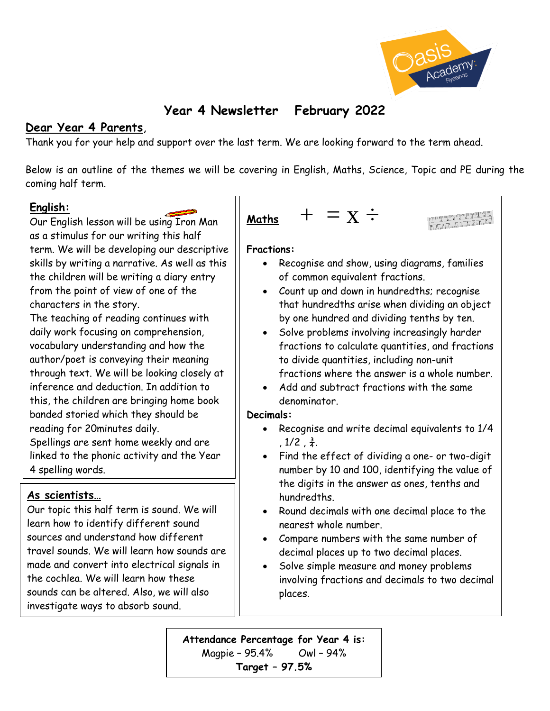

# **Year 4 Newsletter February 2022**

## **Dear Year 4 Parents**,

Thank you for your help and support over the last term. We are looking forward to the term ahead.

Below is an outline of the themes we will be covering in English, Maths, Science, Topic and PE during the coming half term.

#### **English:**

Our English lesson will be using Iron Man as a stimulus for our writing this half term. We will be developing our descriptive skills by writing a narrative. As well as this the children will be writing a diary entry from the point of view of one of the characters in the story.

The teaching of reading continues with daily work focusing on comprehension, vocabulary understanding and how the author/poet is conveying their meaning through text. We will be looking closely at inference and deduction. In addition to this, the children are bringing home book banded storied which they should be reading for 20minutes daily.

Spellings are sent home weekly and are linked to the phonic activity and the Year 4 spelling words.

# **As scientists…**

Our topic this half term is sound. We will learn how to identify different sound sources and understand how different travel sounds. We will learn how sounds are made and convert into electrical signals in the cochlea. We will learn how these sounds can be altered. Also, we will also investigate ways to absorb sound.

| Maths | $+$ | $=$ | $X \div$ |
|-------|-----|-----|----------|
|-------|-----|-----|----------|

#### **Fractions:**

- Recognise and show, using diagrams, families of common equivalent fractions.
- Count up and down in hundredths; recognise that hundredths arise when dividing an object by one hundred and dividing tenths by ten.
- Solve problems involving increasingly harder fractions to calculate quantities, and fractions to divide quantities, including non-unit fractions where the answer is a whole number.
- Add and subtract fractions with the same denominator.

#### **Decimals:**

- Recognise and write decimal equivalents to 1/4 ,  $1/2$  ,  $\frac{3}{4}$ .
- Find the effect of dividing a one- or two-digit number by 10 and 100, identifying the value of the digits in the answer as ones, tenths and hundredths.
- Round decimals with one decimal place to the nearest whole number.
- Compare numbers with the same number of decimal places up to two decimal places.
- Solve simple measure and money problems involving fractions and decimals to two decimal places.

**Attendance Percentage for Year 4 is:**  Magpie – 95.4% Owl – 94% **Target – 97.5%**